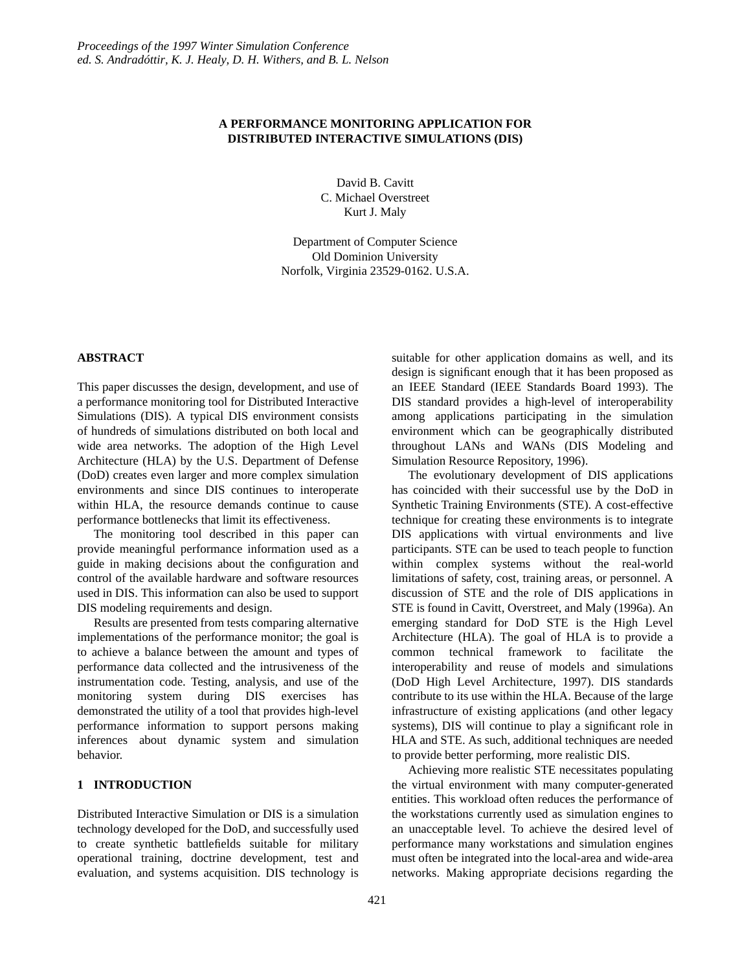# **A PERFORMANCE MONITORING APPLICATION FOR DISTRIBUTED INTERACTIVE SIMULATIONS (DIS)**

David B. Cavitt C. Michael Overstreet Kurt J. Maly

Department of Computer Science Old Dominion University Norfolk, Virginia 23529-0162. U.S.A.

# **ABSTRACT**

This paper discusses the design, development, and use of a performance monitoring tool for Distributed Interactive Simulations (DIS). A typical DIS environment consists of hundreds of simulations distributed on both local and wide area networks. The adoption of the High Level Architecture (HLA) by the U.S. Department of Defense (DoD) creates even larger and more complex simulation environments and since DIS continues to interoperate within HLA, the resource demands continue to cause performance bottlenecks that limit its effectiveness.

The monitoring tool described in this paper can provide meaningful performance information used as a guide in making decisions about the configuration and control of the available hardware and software resources used in DIS. This information can also be used to support DIS modeling requirements and design.

Results are presented from tests comparing alternative implementations of the performance monitor; the goal is to achieve a balance between the amount and types of performance data collected and the intrusiveness of the instrumentation code. Testing, analysis, and use of the monitoring system during DIS exercises has demonstrated the utility of a tool that provides high-level performance information to support persons making inferences about dynamic system and simulation behavior.

# **1 INTRODUCTION**

Distributed Interactive Simulation or DIS is a simulation technology developed for the DoD, and successfully used to create synthetic battlefields suitable for military operational training, doctrine development, test and evaluation, and systems acquisition. DIS technology is suitable for other application domains as well, and its design is significant enough that it has been proposed as an IEEE Standard (IEEE Standards Board 1993). The DIS standard provides a high-level of interoperability among applications participating in the simulation environment which can be geographically distributed throughout LANs and WANs (DIS Modeling and Simulation Resource Repository, 1996).

The evolutionary development of DIS applications has coincided with their successful use by the DoD in Synthetic Training Environments (STE). A cost-effective technique for creating these environments is to integrate DIS applications with virtual environments and live participants. STE can be used to teach people to function within complex systems without the real-world limitations of safety, cost, training areas, or personnel. A discussion of STE and the role of DIS applications in STE is found in Cavitt, Overstreet, and Maly (1996a). An emerging standard for DoD STE is the High Level Architecture (HLA). The goal of HLA is to provide a common technical framework to facilitate the interoperability and reuse of models and simulations (DoD High Level Architecture, 1997). DIS standards contribute to its use within the HLA. Because of the large infrastructure of existing applications (and other legacy systems), DIS will continue to play a significant role in HLA and STE. As such, additional techniques are needed to provide better performing, more realistic DIS.

Achieving more realistic STE necessitates populating the virtual environment with many computer-generated entities. This workload often reduces the performance of the workstations currently used as simulation engines to an unacceptable level. To achieve the desired level of performance many workstations and simulation engines must often be integrated into the local-area and wide-area networks. Making appropriate decisions regarding the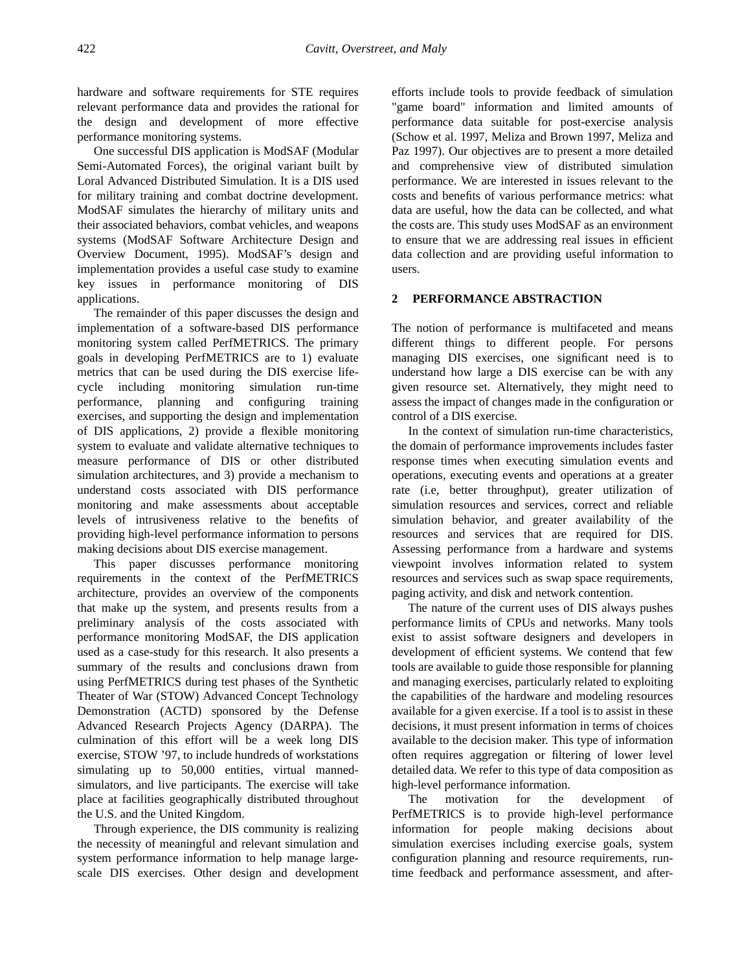hardware and software requirements for STE requires relevant performance data and provides the rational for the design and development of more effective performance monitoring systems.

One successful DIS application is ModSAF (Modular Semi-Automated Forces), the original variant built by Loral Advanced Distributed Simulation. It is a DIS used for military training and combat doctrine development. ModSAF simulates the hierarchy of military units and their associated behaviors, combat vehicles, and weapons systems (ModSAF Software Architecture Design and Overview Document, 1995). ModSAF's design and implementation provides a useful case study to examine key issues in performance monitoring of DIS applications.

The remainder of this paper discusses the design and implementation of a software-based DIS performance monitoring system called PerfMETRICS. The primary goals in developing PerfMETRICS are to 1) evaluate metrics that can be used during the DIS exercise lifecycle including monitoring simulation run-time performance, planning and configuring training exercises, and supporting the design and implementation of DIS applications, 2) provide a flexible monitoring system to evaluate and validate alternative techniques to measure performance of DIS or other distributed simulation architectures, and 3) provide a mechanism to understand costs associated with DIS performance monitoring and make assessments about acceptable levels of intrusiveness relative to the benefits of providing high-level performance information to persons making decisions about DIS exercise management.

This paper discusses performance monitoring requirements in the context of the PerfMETRICS architecture, provides an overview of the components that make up the system, and presents results from a preliminary analysis of the costs associated with performance monitoring ModSAF, the DIS application used as a case-study for this research. It also presents a summary of the results and conclusions drawn from using PerfMETRICS during test phases of the Synthetic Theater of War (STOW) Advanced Concept Technology Demonstration (ACTD) sponsored by the Defense Advanced Research Projects Agency (DARPA). The culmination of this effort will be a week long DIS exercise, STOW '97, to include hundreds of workstations simulating up to 50,000 entities, virtual mannedsimulators, and live participants. The exercise will take place at facilities geographically distributed throughout the U.S. and the United Kingdom.

Through experience, the DIS community is realizing the necessity of meaningful and relevant simulation and system performance information to help manage largescale DIS exercises. Other design and development efforts include tools to provide feedback of simulation "game board" information and limited amounts of performance data suitable for post-exercise analysis (Schow et al. 1997, Meliza and Brown 1997, Meliza and Paz 1997). Our objectives are to present a more detailed and comprehensive view of distributed simulation performance. We are interested in issues relevant to the costs and benefits of various performance metrics: what data are useful, how the data can be collected, and what the costs are. This study uses ModSAF as an environment to ensure that we are addressing real issues in efficient data collection and are providing useful information to users.

#### **2 PERFORMANCE ABSTRACTION**

The notion of performance is multifaceted and means different things to different people. For persons managing DIS exercises, one significant need is to understand how large a DIS exercise can be with any given resource set. Alternatively, they might need to assess the impact of changes made in the configuration or control of a DIS exercise.

In the context of simulation run-time characteristics, the domain of performance improvements includes faster response times when executing simulation events and operations, executing events and operations at a greater rate (i.e, better throughput), greater utilization of simulation resources and services, correct and reliable simulation behavior, and greater availability of the resources and services that are required for DIS. Assessing performance from a hardware and systems viewpoint involves information related to system resources and services such as swap space requirements, paging activity, and disk and network contention.

The nature of the current uses of DIS always pushes performance limits of CPUs and networks. Many tools exist to assist software designers and developers in development of efficient systems. We contend that few tools are available to guide those responsible for planning and managing exercises, particularly related to exploiting the capabilities of the hardware and modeling resources available for a given exercise. If a tool is to assist in these decisions, it must present information in terms of choices available to the decision maker. This type of information often requires aggregation or filtering of lower level detailed data. We refer to this type of data composition as high-level performance information.

The motivation for the development of PerfMETRICS is to provide high-level performance information for people making decisions about simulation exercises including exercise goals, system configuration planning and resource requirements, runtime feedback and performance assessment, and after-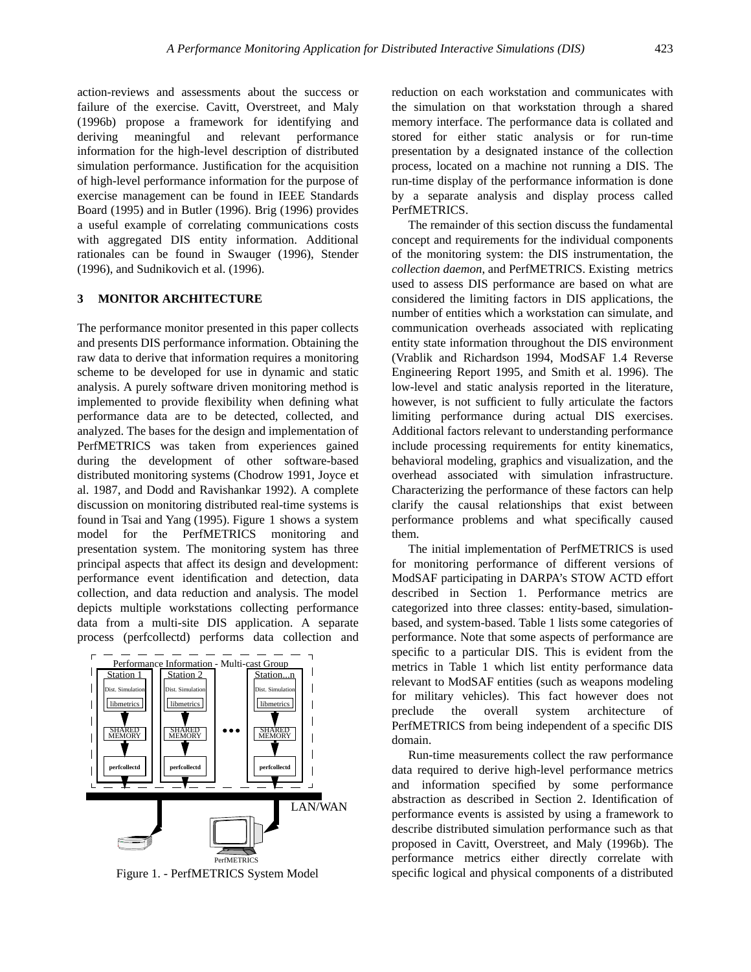action-reviews and assessments about the success or failure of the exercise. Cavitt, Overstreet, and Maly (1996b) propose a framework for identifying and deriving meaningful and relevant performance information for the high-level description of distributed simulation performance. Justification for the acquisition of high-level performance information for the purpose of exercise management can be found in IEEE Standards Board (1995) and in Butler (1996). Brig (1996) provides a useful example of correlating communications costs with aggregated DIS entity information. Additional rationales can be found in Swauger (1996), Stender (1996), and Sudnikovich et al. (1996).

### **3 MONITOR ARCHITECTURE**

The performance monitor presented in this paper collects and presents DIS performance information. Obtaining the raw data to derive that information requires a monitoring scheme to be developed for use in dynamic and static analysis. A purely software driven monitoring method is implemented to provide flexibility when defining what performance data are to be detected, collected, and analyzed. The bases for the design and implementation of PerfMETRICS was taken from experiences gained during the development of other software-based distributed monitoring systems (Chodrow 1991, Joyce et al. 1987, and Dodd and Ravishankar 1992). A complete discussion on monitoring distributed real-time systems is found in Tsai and Yang (1995). Figure 1 shows a system model for the PerfMETRICS monitoring and presentation system. The monitoring system has three principal aspects that affect its design and development: performance event identification and detection, data collection, and data reduction and analysis. The model depicts multiple workstations collecting performance data from a multi-site DIS application. A separate process (perfcollectd) performs data collection and



Figure 1. - PerfMETRICS System Model

reduction on each workstation and communicates with the simulation on that workstation through a shared memory interface. The performance data is collated and stored for either static analysis or for run-time presentation by a designated instance of the collection process, located on a machine not running a DIS. The run-time display of the performance information is done by a separate analysis and display process called PerfMETRICS.

The remainder of this section discuss the fundamental concept and requirements for the individual components of the monitoring system: the DIS instrumentation, the *collection daemon*, and PerfMETRICS. Existing metrics used to assess DIS performance are based on what are considered the limiting factors in DIS applications, the number of entities which a workstation can simulate, and communication overheads associated with replicating entity state information throughout the DIS environment (Vrablik and Richardson 1994, ModSAF 1.4 Reverse Engineering Report 1995, and Smith et al. 1996). The low-level and static analysis reported in the literature, however, is not sufficient to fully articulate the factors limiting performance during actual DIS exercises. Additional factors relevant to understanding performance include processing requirements for entity kinematics, behavioral modeling, graphics and visualization, and the overhead associated with simulation infrastructure. Characterizing the performance of these factors can help clarify the causal relationships that exist between performance problems and what specifically caused them.

The initial implementation of PerfMETRICS is used for monitoring performance of different versions of ModSAF participating in DARPA's STOW ACTD effort described in Section 1. Performance metrics are categorized into three classes: entity-based, simulationbased, and system-based. Table 1 lists some categories of performance. Note that some aspects of performance are specific to a particular DIS. This is evident from the metrics in Table 1 which list entity performance data relevant to ModSAF entities (such as weapons modeling for military vehicles). This fact however does not preclude the overall system architecture of PerfMETRICS from being independent of a specific DIS domain.

Run-time measurements collect the raw performance data required to derive high-level performance metrics and information specified by some performance abstraction as described in Section 2. Identification of performance events is assisted by using a framework to describe distributed simulation performance such as that proposed in Cavitt, Overstreet, and Maly (1996b). The performance metrics either directly correlate with specific logical and physical components of a distributed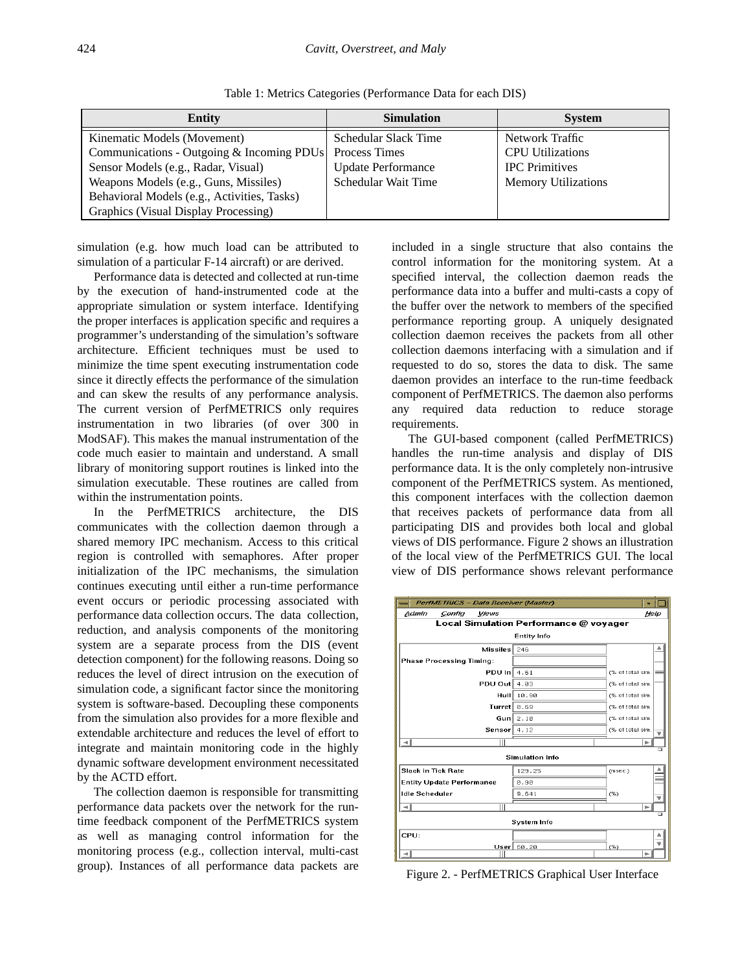| Entity                                      | <b>Simulation</b>         | <b>System</b>              |
|---------------------------------------------|---------------------------|----------------------------|
| Kinematic Models (Movement)                 | Schedular Slack Time      | Network Traffic            |
| Communications - Outgoing & Incoming PDUs   | Process Times             | <b>CPU</b> Utilizations    |
| Sensor Models (e.g., Radar, Visual)         | <b>Update Performance</b> | <b>IPC</b> Primitives      |
| Weapons Models (e.g., Guns, Missiles)       | Schedular Wait Time       | <b>Memory Utilizations</b> |
| Behavioral Models (e.g., Activities, Tasks) |                           |                            |
| Graphics (Visual Display Processing)        |                           |                            |

Table 1: Metrics Categories (Performance Data for each DIS)

simulation (e.g. how much load can be attributed to simulation of a particular F-14 aircraft) or are derived.

Performance data is detected and collected at run-time by the execution of hand-instrumented code at the appropriate simulation or system interface. Identifying the proper interfaces is application specific and requires a programmer's understanding of the simulation's software architecture. Efficient techniques must be used to minimize the time spent executing instrumentation code since it directly effects the performance of the simulation and can skew the results of any performance analysis. The current version of PerfMETRICS only requires instrumentation in two libraries (of over 300 in ModSAF). This makes the manual instrumentation of the code much easier to maintain and understand. A small library of monitoring support routines is linked into the simulation executable. These routines are called from within the instrumentation points.

In the PerfMETRICS architecture, the DIS communicates with the collection daemon through a shared memory IPC mechanism. Access to this critical region is controlled with semaphores. After proper initialization of the IPC mechanisms, the simulation continues executing until either a run-time performance event occurs or periodic processing associated with performance data collection occurs. The data collection, reduction, and analysis components of the monitoring system are a separate process from the DIS (event detection component) for the following reasons. Doing so reduces the level of direct intrusion on the execution of simulation code, a significant factor since the monitoring system is software-based. Decoupling these components from the simulation also provides for a more flexible and extendable architecture and reduces the level of effort to integrate and maintain monitoring code in the highly dynamic software development environment necessitated by the ACTD effort.

The collection daemon is responsible for transmitting performance data packets over the network for the runtime feedback component of the PerfMETRICS system as well as managing control information for the monitoring process (e.g., collection interval, multi-cast group). Instances of all performance data packets are included in a single structure that also contains the control information for the monitoring system. At a specified interval, the collection daemon reads the performance data into a buffer and multi-casts a copy of the buffer over the network to members of the specified performance reporting group. A uniquely designated collection daemon receives the packets from all other collection daemons interfacing with a simulation and if requested to do so, stores the data to disk. The same daemon provides an interface to the run-time feedback component of PerfMETRICS. The daemon also performs any required data reduction to reduce storage requirements.

The GUI-based component (called PerfMETRICS) handles the run-time analysis and display of DIS performance data. It is the only completely non-intrusive component of the PerfMETRICS system. As mentioned, this component interfaces with the collection daemon that receives packets of performance data from all participating DIS and provides both local and global views of DIS performance. Figure 2 shows an illustration of the local view of the PerfMETRICS GUI. The local view of DIS performance shows relevant performance



Figure 2. - PerfMETRICS Graphical User Interface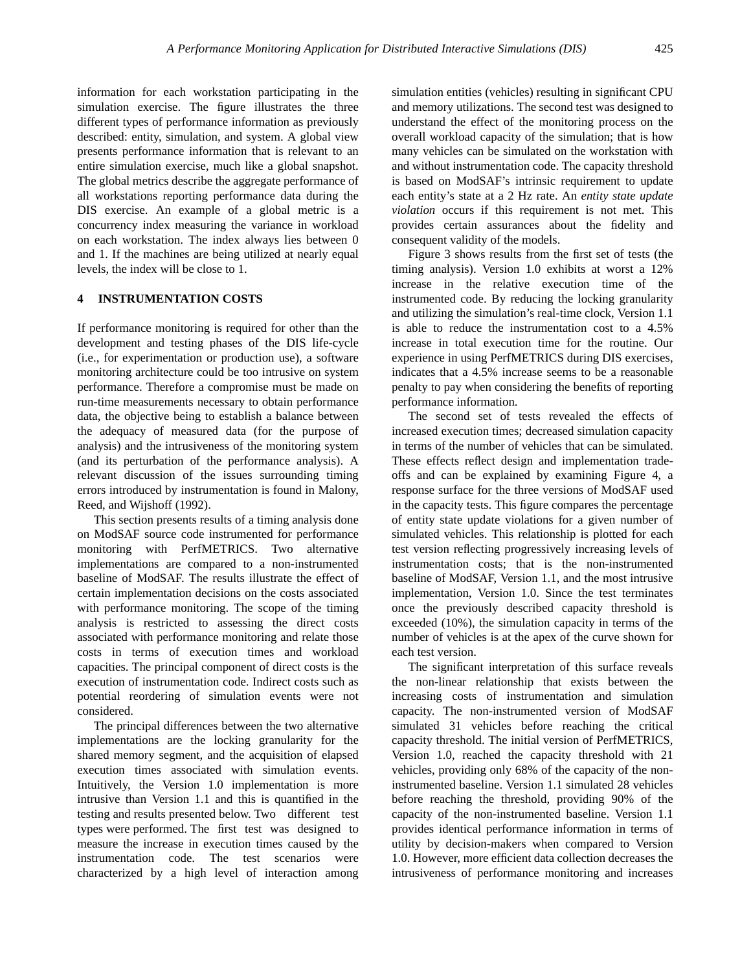information for each workstation participating in the simulation exercise. The figure illustrates the three different types of performance information as previously described: entity, simulation, and system. A global view presents performance information that is relevant to an entire simulation exercise, much like a global snapshot. The global metrics describe the aggregate performance of all workstations reporting performance data during the DIS exercise. An example of a global metric is a concurrency index measuring the variance in workload on each workstation. The index always lies between 0 and 1. If the machines are being utilized at nearly equal levels, the index will be close to 1.

### **4 INSTRUMENTATION COSTS**

If performance monitoring is required for other than the development and testing phases of the DIS life-cycle (i.e., for experimentation or production use), a software monitoring architecture could be too intrusive on system performance. Therefore a compromise must be made on run-time measurements necessary to obtain performance data, the objective being to establish a balance between the adequacy of measured data (for the purpose of analysis) and the intrusiveness of the monitoring system (and its perturbation of the performance analysis). A relevant discussion of the issues surrounding timing errors introduced by instrumentation is found in Malony, Reed, and Wijshoff (1992).

This section presents results of a timing analysis done on ModSAF source code instrumented for performance monitoring with PerfMETRICS. Two alternative implementations are compared to a non-instrumented baseline of ModSAF. The results illustrate the effect of certain implementation decisions on the costs associated with performance monitoring. The scope of the timing analysis is restricted to assessing the direct costs associated with performance monitoring and relate those costs in terms of execution times and workload capacities. The principal component of direct costs is the execution of instrumentation code. Indirect costs such as potential reordering of simulation events were not considered.

The principal differences between the two alternative implementations are the locking granularity for the shared memory segment, and the acquisition of elapsed execution times associated with simulation events. Intuitively, the Version 1.0 implementation is more intrusive than Version 1.1 and this is quantified in the testing and results presented below. Two different test types were performed. The first test was designed to measure the increase in execution times caused by the instrumentation code. The test scenarios were characterized by a high level of interaction among simulation entities (vehicles) resulting in significant CPU and memory utilizations. The second test was designed to understand the effect of the monitoring process on the overall workload capacity of the simulation; that is how many vehicles can be simulated on the workstation with and without instrumentation code. The capacity threshold is based on ModSAF's intrinsic requirement to update each entity's state at a 2 Hz rate. An *entity state update violation* occurs if this requirement is not met. This provides certain assurances about the fidelity and consequent validity of the models.

Figure 3 shows results from the first set of tests (the timing analysis). Version 1.0 exhibits at worst a 12% increase in the relative execution time of the instrumented code. By reducing the locking granularity and utilizing the simulation's real-time clock, Version 1.1 is able to reduce the instrumentation cost to a 4.5% increase in total execution time for the routine. Our experience in using PerfMETRICS during DIS exercises, indicates that a 4.5% increase seems to be a reasonable penalty to pay when considering the benefits of reporting performance information.

The second set of tests revealed the effects of increased execution times; decreased simulation capacity in terms of the number of vehicles that can be simulated. These effects reflect design and implementation tradeoffs and can be explained by examining Figure 4, a response surface for the three versions of ModSAF used in the capacity tests. This figure compares the percentage of entity state update violations for a given number of simulated vehicles. This relationship is plotted for each test version reflecting progressively increasing levels of instrumentation costs; that is the non-instrumented baseline of ModSAF, Version 1.1, and the most intrusive implementation, Version 1.0. Since the test terminates once the previously described capacity threshold is exceeded (10%), the simulation capacity in terms of the number of vehicles is at the apex of the curve shown for each test version.

The significant interpretation of this surface reveals the non-linear relationship that exists between the increasing costs of instrumentation and simulation capacity. The non-instrumented version of ModSAF simulated 31 vehicles before reaching the critical capacity threshold. The initial version of PerfMETRICS, Version 1.0, reached the capacity threshold with 21 vehicles, providing only 68% of the capacity of the noninstrumented baseline. Version 1.1 simulated 28 vehicles before reaching the threshold, providing 90% of the capacity of the non-instrumented baseline. Version 1.1 provides identical performance information in terms of utility by decision-makers when compared to Version 1.0. However, more efficient data collection decreases the intrusiveness of performance monitoring and increases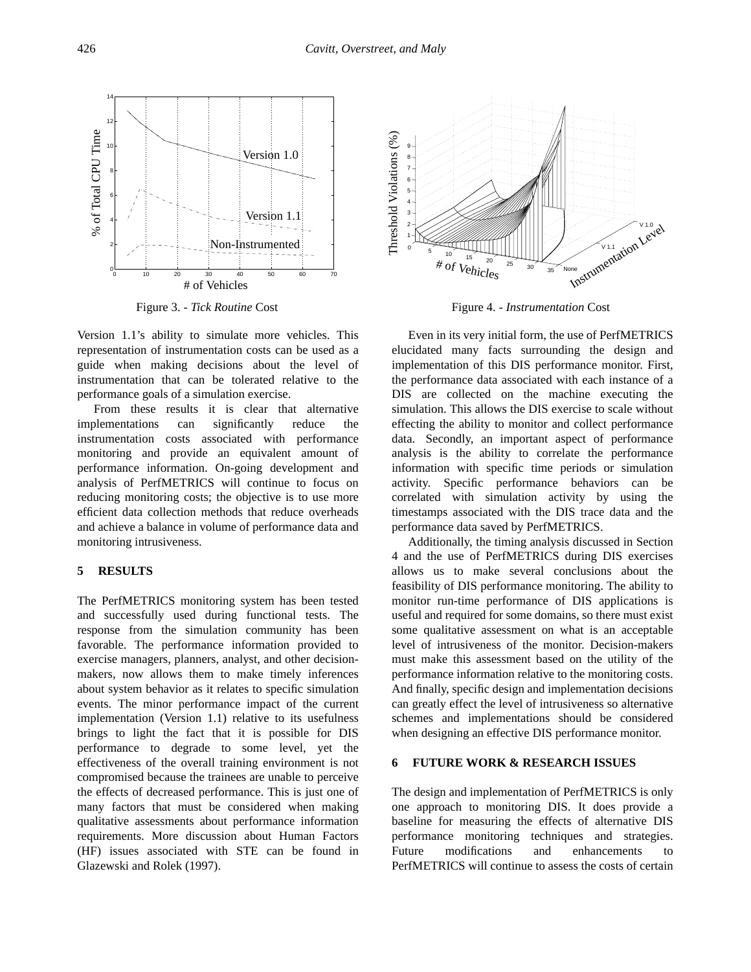

Figure 3. - *Tick Routine* Cost

Version 1.1's ability to simulate more vehicles. This representation of instrumentation costs can be used as a guide when making decisions about the level of instrumentation that can be tolerated relative to the performance goals of a simulation exercise.

From these results it is clear that alternative implementations can significantly reduce the instrumentation costs associated with performance monitoring and provide an equivalent amount of performance information. On-going development and analysis of PerfMETRICS will continue to focus on reducing monitoring costs; the objective is to use more efficient data collection methods that reduce overheads and achieve a balance in volume of performance data and monitoring intrusiveness.

#### **5 RESULTS**

The PerfMETRICS monitoring system has been tested and successfully used during functional tests. The response from the simulation community has been favorable. The performance information provided to exercise managers, planners, analyst, and other decisionmakers, now allows them to make timely inferences about system behavior as it relates to specific simulation events. The minor performance impact of the current implementation (Version 1.1) relative to its usefulness brings to light the fact that it is possible for DIS performance to degrade to some level, yet the effectiveness of the overall training environment is not compromised because the trainees are unable to perceive the effects of decreased performance. This is just one of many factors that must be considered when making qualitative assessments about performance information requirements. More discussion about Human Factors (HF) issues associated with STE can be found in Glazewski and Rolek (1997).



Figure 4. - *Instrumentation* Cost

Even in its very initial form, the use of PerfMETRICS elucidated many facts surrounding the design and implementation of this DIS performance monitor. First, the performance data associated with each instance of a DIS are collected on the machine executing the simulation. This allows the DIS exercise to scale without effecting the ability to monitor and collect performance data. Secondly, an important aspect of performance analysis is the ability to correlate the performance information with specific time periods or simulation activity. Specific performance behaviors can be correlated with simulation activity by using the timestamps associated with the DIS trace data and the performance data saved by PerfMETRICS.

Additionally, the timing analysis discussed in Section 4 and the use of PerfMETRICS during DIS exercises allows us to make several conclusions about the feasibility of DIS performance monitoring. The ability to monitor run-time performance of DIS applications is useful and required for some domains, so there must exist some qualitative assessment on what is an acceptable level of intrusiveness of the monitor. Decision-makers must make this assessment based on the utility of the performance information relative to the monitoring costs. And finally, specific design and implementation decisions can greatly effect the level of intrusiveness so alternative schemes and implementations should be considered when designing an effective DIS performance monitor.

### **6 FUTURE WORK & RESEARCH ISSUES**

The design and implementation of PerfMETRICS is only one approach to monitoring DIS. It does provide a baseline for measuring the effects of alternative DIS performance monitoring techniques and strategies. Future modifications and enhancements to PerfMETRICS will continue to assess the costs of certain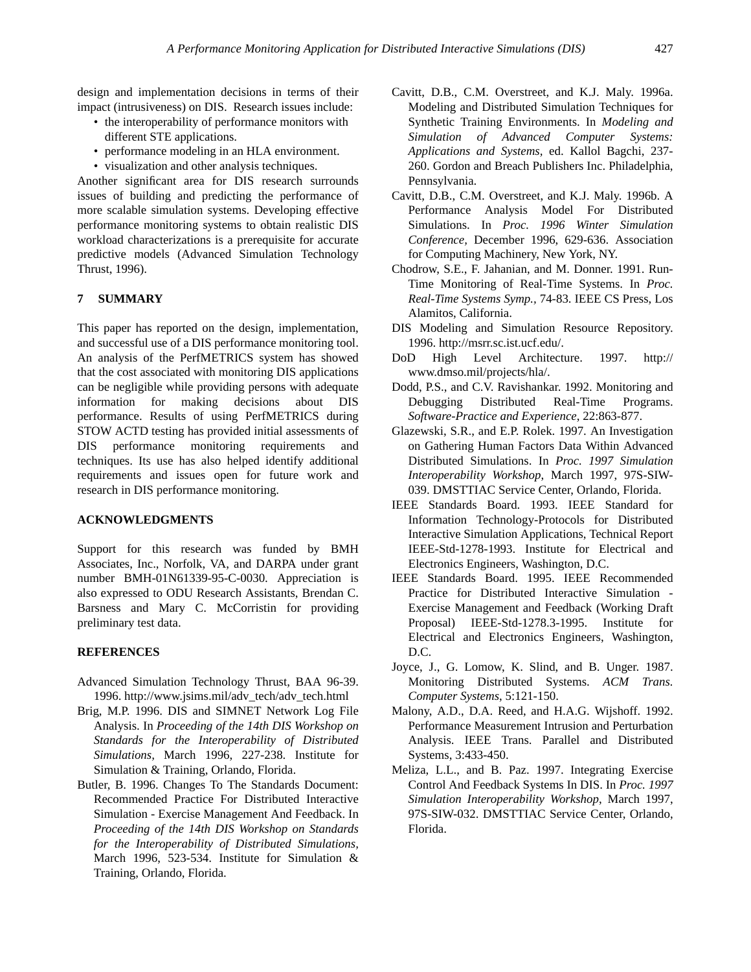design and implementation decisions in terms of their impact (intrusiveness) on DIS. Research issues include:

- the interoperability of performance monitors with different STE applications.
- performance modeling in an HLA environment.
- visualization and other analysis techniques.

Another significant area for DIS research surrounds issues of building and predicting the performance of more scalable simulation systems. Developing effective performance monitoring systems to obtain realistic DIS workload characterizations is a prerequisite for accurate predictive models (Advanced Simulation Technology Thrust, 1996).

## **7 SUMMARY**

This paper has reported on the design, implementation, and successful use of a DIS performance monitoring tool. An analysis of the PerfMETRICS system has showed that the cost associated with monitoring DIS applications can be negligible while providing persons with adequate information for making decisions about DIS performance. Results of using PerfMETRICS during STOW ACTD testing has provided initial assessments of DIS performance monitoring requirements and techniques. Its use has also helped identify additional requirements and issues open for future work and research in DIS performance monitoring.

## **ACKNOWLEDGMENTS**

Support for this research was funded by BMH Associates, Inc., Norfolk, VA, and DARPA under grant number BMH-01N61339-95-C-0030. Appreciation is also expressed to ODU Research Assistants, Brendan C. Barsness and Mary C. McCorristin for providing preliminary test data.

### **REFERENCES**

- Advanced Simulation Technology Thrust, BAA 96-39. 1996. http://www.jsims.mil/adv\_tech/adv\_tech.html
- Brig, M.P. 1996. DIS and SIMNET Network Log File Analysis. In *Proceeding of the 14th DIS Workshop on Standards for the Interoperability of Distributed Simulations,* March 1996, 227-238. Institute for Simulation & Training, Orlando, Florida.
- Butler, B. 1996. Changes To The Standards Document: Recommended Practice For Distributed Interactive Simulation - Exercise Management And Feedback. In *Proceeding of the 14th DIS Workshop on Standards for the Interoperability of Distributed Simulations,* March 1996, 523-534. Institute for Simulation & Training, Orlando, Florida.
- Cavitt, D.B., C.M. Overstreet, and K.J. Maly. 1996a. Modeling and Distributed Simulation Techniques for Synthetic Training Environments. In *Modeling and Simulation of Advanced Computer Systems: Applications and Systems,* ed. Kallol Bagchi, 237- 260. Gordon and Breach Publishers Inc. Philadelphia, Pennsylvania.
- Cavitt, D.B., C.M. Overstreet, and K.J. Maly. 1996b. A Performance Analysis Model For Distributed Simulations. In *Proc. 1996 Winter Simulation Conference,* December 1996, 629-636. Association for Computing Machinery, New York, NY.
- Chodrow, S.E., F. Jahanian, and M. Donner. 1991. Run-Time Monitoring of Real-Time Systems. In *Proc. Real-Time Systems Symp.,* 74-83. IEEE CS Press, Los Alamitos, California.
- DIS Modeling and Simulation Resource Repository. 1996. http://msrr.sc.ist.ucf.edu/.
- DoD High Level Architecture. 1997. http:// www.dmso.mil/projects/hla/.
- Dodd, P.S., and C.V. Ravishankar. 1992. Monitoring and Debugging Distributed Real-Time Programs. *Software-Practice and Experience*, 22:863-877.
- Glazewski, S.R., and E.P. Rolek. 1997. An Investigation on Gathering Human Factors Data Within Advanced Distributed Simulations. In *Proc. 1997 Simulation Interoperability Workshop*, March 1997, 97S-SIW-039. DMSTTIAC Service Center, Orlando, Florida.
- IEEE Standards Board. 1993. IEEE Standard for Information Technology-Protocols for Distributed Interactive Simulation Applications, Technical Report IEEE-Std-1278-1993. Institute for Electrical and Electronics Engineers, Washington, D.C.
- IEEE Standards Board. 1995. IEEE Recommended Practice for Distributed Interactive Simulation - Exercise Management and Feedback (Working Draft Proposal) IEEE-Std-1278.3-1995. Institute for Electrical and Electronics Engineers, Washington, D.C.
- Joyce, J., G. Lomow, K. Slind, and B. Unger. 1987. Monitoring Distributed Systems. *ACM Trans. Computer Systems*, 5:121-150.
- Malony, A.D., D.A. Reed, and H.A.G. Wijshoff. 1992. Performance Measurement Intrusion and Perturbation Analysis. IEEE Trans. Parallel and Distributed Systems, 3:433-450.
- Meliza, L.L., and B. Paz. 1997. Integrating Exercise Control And Feedback Systems In DIS. In *Proc. 1997 Simulation Interoperability Workshop*, March 1997, 97S-SIW-032. DMSTTIAC Service Center, Orlando, Florida.